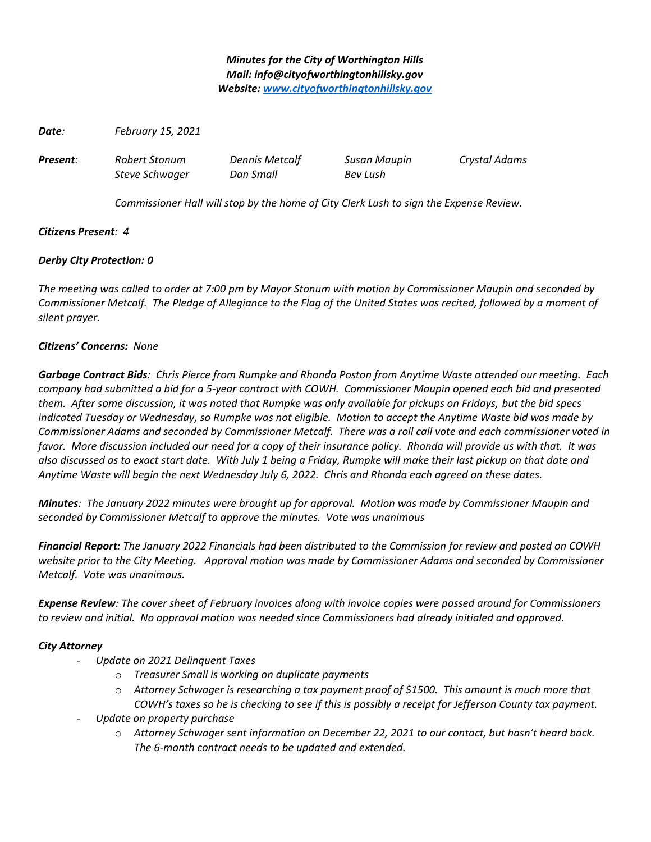# *Minutes for the City of Worthington Hills Mail: info@cityofworthingtonhillsky.gov Website: [www.cityofworthingtonhillsky.gov](http://www.cityofworthingtonhillsky.gov/)*

*Date: February 15, 2021*

*Present: Robert Stonum Dennis Metcalf Susan Maupin Crystal Adams*

*Steve Schwager Dan Small Bev Lush*

*Commissioner Hall will stop by the home of City Clerk Lush to sign the Expense Review.*

# *Citizens Present: 4*

# *Derby City Protection: 0*

*The meeting was called to order at 7:00 pm by Mayor Stonum with motion by Commissioner Maupin and seconded by Commissioner Metcalf. The Pledge of Allegiance to the Flag of the United States was recited, followed by a moment of silent prayer.*

## *Citizens' Concerns: None*

*Garbage Contract Bids: Chris Pierce from Rumpke and Rhonda Poston from Anytime Waste attended our meeting. Each company had submitted a bid for a 5-year contract with COWH. Commissioner Maupin opened each bid and presented them. After some discussion, it was noted that Rumpke was only available for pickups on Fridays, but the bid specs indicated Tuesday or Wednesday, so Rumpke was not eligible. Motion to accept the Anytime Waste bid was made by Commissioner Adams and seconded by Commissioner Metcalf. There was a roll call vote and each commissioner voted in favor. More discussion included our need for a copy of their insurance policy. Rhonda will provide us with that. It was also discussed as to exact start date. With July 1 being a Friday, Rumpke will make their last pickup on that date and Anytime Waste will begin the next Wednesday July 6, 2022. Chris and Rhonda each agreed on these dates.*

*Minutes: The January 2022 minutes were brought up for approval. Motion was made by Commissioner Maupin and seconded by Commissioner Metcalf to approve the minutes. Vote was unanimous*

*Financial Report: The January 2022 Financials had been distributed to the Commission for review and posted on COWH website prior to the City Meeting. Approval motion was made by Commissioner Adams and seconded by Commissioner Metcalf. Vote was unanimous.*

*Expense Review: The cover sheet of February invoices along with invoice copies were passed around for Commissioners to review and initial. No approval motion was needed since Commissioners had already initialed and approved.* 

## *City Attorney*

- *Update on 2021 Delinquent Taxes*
	- o *Treasurer Small is working on duplicate payments*
	- o *Attorney Schwager is researching a tax payment proof of \$1500. This amount is much more that COWH's taxes so he is checking to see if this is possibly a receipt for Jefferson County tax payment.*
- *Update on property purchase*
	- o *Attorney Schwager sent information on December 22, 2021 to our contact, but hasn't heard back. The 6-month contract needs to be updated and extended.*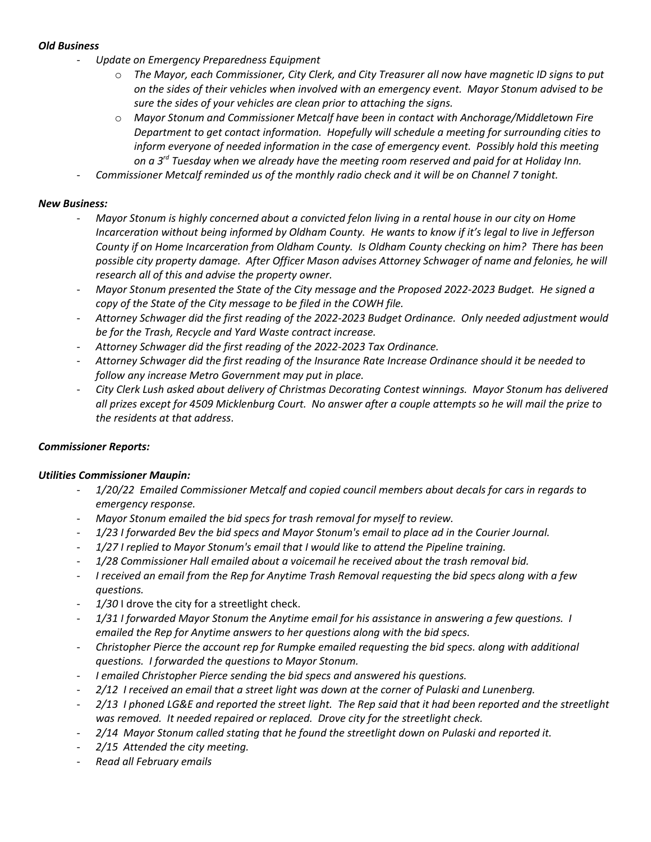## *Old Business*

- *Update on Emergency Preparedness Equipment*
	- o *The Mayor, each Commissioner, City Clerk, and City Treasurer all now have magnetic ID signs to put on the sides of their vehicles when involved with an emergency event. Mayor Stonum advised to be sure the sides of your vehicles are clean prior to attaching the signs.*
	- o *Mayor Stonum and Commissioner Metcalf have been in contact with Anchorage/Middletown Fire Department to get contact information. Hopefully will schedule a meeting for surrounding cities to inform everyone of needed information in the case of emergency event. Possibly hold this meeting on a 3rd Tuesday when we already have the meeting room reserved and paid for at Holiday Inn.*
- *Commissioner Metcalf reminded us of the monthly radio check and it will be on Channel 7 tonight.*

## *New Business:*

- *Mayor Stonum is highly concerned about a convicted felon living in a rental house in our city on Home Incarceration without being informed by Oldham County. He wants to know if it's legal to live in Jefferson County if on Home Incarceration from Oldham County. Is Oldham County checking on him? There has been possible city property damage. After Officer Mason advises Attorney Schwager of name and felonies, he will research all of this and advise the property owner.*
- *Mayor Stonum presented the State of the City message and the Proposed 2022-2023 Budget. He signed a copy of the State of the City message to be filed in the COWH file.*
- *Attorney Schwager did the first reading of the 2022-2023 Budget Ordinance. Only needed adjustment would be for the Trash, Recycle and Yard Waste contract increase.*
- *Attorney Schwager did the first reading of the 2022-2023 Tax Ordinance.*
- *Attorney Schwager did the first reading of the Insurance Rate Increase Ordinance should it be needed to follow any increase Metro Government may put in place.*
- *City Clerk Lush asked about delivery of Christmas Decorating Contest winnings. Mayor Stonum has delivered all prizes except for 4509 Micklenburg Court. No answer after a couple attempts so he will mail the prize to the residents at that address.*

# *Commissioner Reports:*

## *Utilities Commissioner Maupin:*

- *1/20/22 Emailed Commissioner Metcalf and copied council members about decals for cars in regards to emergency response.*
- *Mayor Stonum emailed the bid specs for trash removal for myself to review.*
- *1/23 I forwarded Bev the bid specs and Mayor Stonum's email to place ad in the Courier Journal.*
- *1/27 I replied to Mayor Stonum's email that I would like to attend the Pipeline training.*
- *1/28 Commissioner Hall emailed about a voicemail he received about the trash removal bid.*
- *I received an email from the Rep for Anytime Trash Removal requesting the bid specs along with a few questions.*
- 1/30 I drove the city for a streetlight check.
- *1/31 I forwarded Mayor Stonum the Anytime email for his assistance in answering a few questions. I emailed the Rep for Anytime answers to her questions along with the bid specs.*
- *Christopher Pierce the account rep for Rumpke emailed requesting the bid specs. along with additional questions. I forwarded the questions to Mayor Stonum.*
- *I emailed Christopher Pierce sending the bid specs and answered his questions.*
- *2/12 I received an email that a street light was down at the corner of Pulaski and Lunenberg.*
- *2/13 I phoned LG&E and reported the street light. The Rep said that it had been reported and the streetlight was removed. It needed repaired or replaced. Drove city for the streetlight check.*
- *2/14 Mayor Stonum called stating that he found the streetlight down on Pulaski and reported it.*
- *2/15 Attended the city meeting.*
- *Read all February emails*